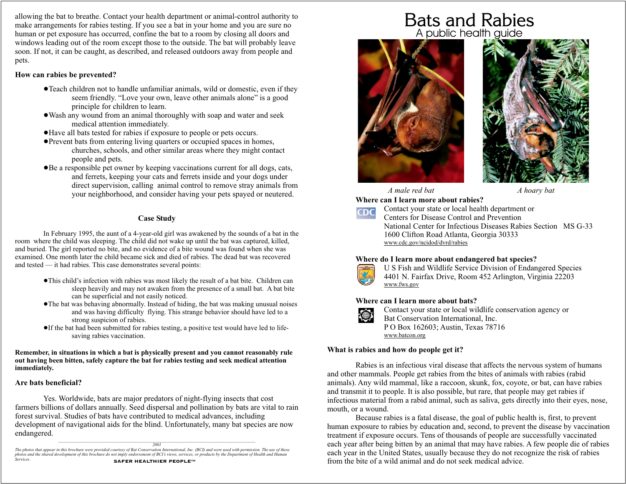allowing the bat to breathe. Contact your health department or animal-control authority to make arrangements for rabies testing. If you see a bat in your home and you are sure no human or pet exposure has occurred, confine the bat to a room by closing all doors and windows leading out of the room except those to the outside. The bat will probably leave soon. If not, it can be caught, as described, and released outdoors away from people and pets.

#### **How can rabies be prevented?**

- Teach children not to handle unfamiliar animals, wild or domestic, even if they ! seem friendly. "Love your own, leave other animals alone" is a good principle for children to learn.
- Wash any wound from an animal thoroughly with soap and water and seek ! medical attention immediately.
- Have all bats tested for rabies if exposure to people or pets occurs. !
- Prevent bats from entering living quarters or occupied spaces in homes, ! churches, schools, and other similar areas where they might contact people and pets.
- Be a responsible pet owner by keeping vaccinations current for all dogs, cats, ! and ferrets, keeping your cats and ferrets inside and your dogs under direct supervision, calling animal control to remove stray animals from your neighborhood, and consider having your pets spayed or neutered.

### **Case Study**

In February 1995, the aunt of a 4-year-old girl was awakened by the sounds of a bat in the room where the child was sleeping. The child did not wake up until the bat was captured, killed, and buried. The girl reported no bite, and no evidence of a bite wound was found when she was examined. One month later the child became sick and died of rabies. The dead bat was recovered and tested — it had rabies. This case demonstrates several points:

- This child's infection with rabies was most likely the result of a bat bite. Children can ! sleep heavily and may not awaken from the presence of a small bat. A bat bite can be superficial and not easily noticed.
- The bat was behaving abnormally. Instead of hiding, the bat was making unusual noises ! and was having difficulty flying. This strange behavior should have led to a strong suspicion of rabies.
- If the bat had been submitted for rabies testing, a positive test would have led to life-! saving rabies vaccination.

**Remember, in situations in which a bat is physically present and you cannot reasonably rule out having been bitten, safely capture the bat for rabies testing and seek medical attention immediately.**

#### **Are bats beneficial?**

Yes. Worldwide, bats are major predators of night-flying insects that cost farmers billions of dollars annually. Seed dispersal and pollination by bats are vital to rain forest survival. Studies of bats have contributed to medical advances, including development of navigational aids for the blind. Unfortunately, many bat species are now endangered.  $\_$  , and the set of the set of the set of the set of the set of the set of the set of the set of the set of the set of the set of the set of the set of the set of the set of the set of the set of the set of the set of th

*2001*

*The photos that appear in this brochure were provided courtesy of Bat Conservation International, Inc. (BCI) and were used with permission. The use of these photos and the shared development of this brochure do not imply endorsement of BCI's views, services, or products by the Department of Health and Human Services.* SAFER HEALTHIER PEOPLE™

# Bats and Rabies A public health guide



*A male red bat A hoary bat*

**Where can I learn more about rabies?**



Contact your state or local health department or Centers for Disease Control and Prevention National Center for Infectious Diseases Rabies Section MS G-33 1600 Clifton Road Atlanta, Georgia 30333 www.cdc.gov/ncidod/dvrd/rabies

#### **Where do I learn more about endangered bat species?**



U S Fish and Wildlife Service Division of Endangered Species 4401 N. Fairfax Drive, Room 452 Arlington, Virginia 22203 www.fws.gov

## **Where can I learn more about bats?**



Contact your state or local wildlife conservation agency or Bat Conservation International, Inc. P O Box 162603; Austin, Texas 78716 www.batcon.org

#### **What is rabies and how do people get it?**

Rabies is an infectious viral disease that affects the nervous system of humans and other mammals. People get rabies from the bites of animals with rabies (rabid animals). Any wild mammal, like a raccoon, skunk, fox, coyote, or bat, can have rabies and transmit it to people. It is also possible, but rare, that people may get rabies if infectious material from a rabid animal, such as saliva, gets directly into their eyes, nose, mouth, or a wound.

Because rabies is a fatal disease, the goal of public health is, first, to prevent human exposure to rabies by education and, second, to prevent the disease by vaccination treatment if exposure occurs. Tens of thousands of people are successfully vaccinated each year after being bitten by an animal that may have rabies. A few people die of rabies each year in the United States, usually because they do not recognize the risk of rabies from the bite of a wild animal and do not seek medical advice.